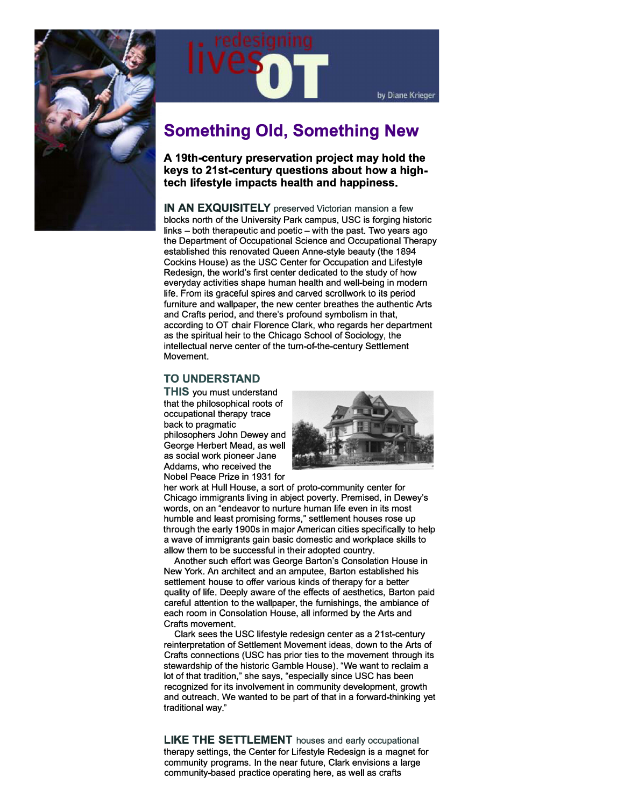



by Diane Krieger

## **Something Old, Something New**

**A 19th-century preservation project may hold the keys to 21st-century questions about how a hightech lifestyle impacts health and happiness.** 

**IN AN EXQUISITELY** preserved Victorian mansion a few blocks north of the University Park campus, USC is forging historic links - both therapeutic and poetic - with the past. Two years ago the Department of Occupational Science and Occupational Therapy established this renovated Queen Anne-style beauty (the 1894 Cockins House) as the USC Center for Occupation and Lifestyle Redesign, the world's first center dedicated to the study of how everyday activities shape human health and well-being in modern life. From its graceful spires and carved scrollwork to its period furniture and wallpaper, the new center breathes the authentic Arts and Crafts period, and there's profound symbolism in that, according to OT chair Florence Clark, who regards her department as the spiritual heir to the Chicago School of Sociology, the intellectual nerve center of the turn-of-the-century Settlement Movement.

## **TO UNDERSTAND**

**THIS** you must understand that the philosophical roots of occupational therapy trace back to pragmatic philosophers John Dewey and George Herbert Mead, as well as social work pioneer Jane Addams, who received the Nobel Peace Prize in 1931 for



her work at Hull House, a sort of proto-community center for Chicago immigrants living in abject poverty. Premised, in Dewey's words, on an "endeavor to nurture human life even in its most humble and least promising forms," settlement houses rose up through the early 1900s in major American cities specifically to help a wave of immigrants gain basic domestic and workplace skills to allow them to be successful in their adopted country.

Another such effort was George Barton's Consolation House in New York. An architect and an amputee, Barton established his settlement house to offer various kinds of therapy for a better quality of life. Deeply aware of the effects of aesthetics, Barton paid careful attention to the wallpaper, the furnishings, the ambiance of each room in Consolation House, all informed by the Arts and Crafts movement.

Clark sees the USC lifestyle redesign center as a 21st-century reinterpretation of Settlement Movement ideas, down to the Arts of Crafts connections (USC has prior ties to the movement through its stewardship of the historic Gamble House). "We want to reclaim a lot of that tradition," she says, "especially since USC has been recognized for its involvement in community development, growth and outreach. We wanted to be part of that in a forward-thinking yet traditional way."

**LIKE THE SETTLEMENT** houses and early occupational therapy settings, the Center for Lifestyle Redesign is a magnet for community programs. In the near future, Clark envisions a large community-based practice operating here, as well as crafts